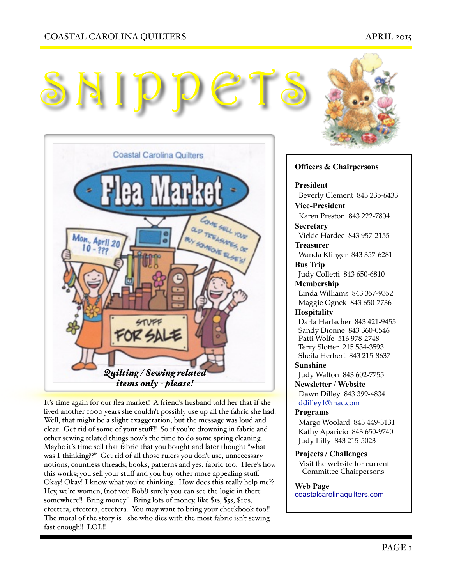# COASTAL CAROLINA QUILTERS APRIL 2015







It's time again for our flea market! A friend's husband told her that if she lived another 1000 years she couldn't possibly use up all the fabric she had. Well, that might be a slight exaggeration, but the message was loud and clear. Get rid of some of your stuff!! So if you're drowning in fabric and other sewing related things now's the time to do some spring cleaning. Maybe it's time sell that fabric that you bought and later thought "what was I thinking??" Get rid of all those rulers you don't use, unnecessary notions, countless threads, books, patterns and yes, fabric too. Here's how this works; you sell your stuff and you buy other more appealing stuff. Okay! Okay! I know what you're thinking. How does this really help me?? Hey, we're women, (not you Bob!) surely you can see the logic in there somewhere!! Bring money!! Bring lots of money, like \$1s, \$5s, \$10s, etcetera, etcetera, etcetera. You may want to bring your checkbook too!! The moral of the story is - she who dies with the most fabric isn't sewing fast enough!! LOL!!

### **Officers & Chairpersons**

#### **President**

 Beverly Clement 843 235-6433 **Vice-President** 

Karen Preston 843 222-7804 **Secretary** 

Vickie Hardee 843 957-2155 **Treasurer** 

 Wanda Klinger 843 357-6281 **Bus Trip** 

Judy Colletti 843 650-6810

#### **Membership**

 Linda Williams 843 357-9352 Maggie Ognek 843 650-7736

### **Hospitality**

 Darla Harlacher 843 421-9455 Sandy Dionne 843 360-0546 Patti Wolfe 516 978-2748 Terry Slotter 215 534-3593 Sheila Herbert 843 215-8637

**Sunshine** 

Judy Walton 843 602-7755

**Newsletter / Website** Dawn Dilley 843 399-4834 [ddilley1@mac.com](mailto:ddilley1@mac.com)

#### **Programs**

Margo Woolard 843 449-3131 Kathy Aparicio 843 650-9740 Judy Lilly 843 215-5023

**Projects / Challenges**  Visit the website for current

Committee Chairpersons

#### **Web Page**

[coastalcarolinaquilters.com](http://coastalcarolinaquilters.com)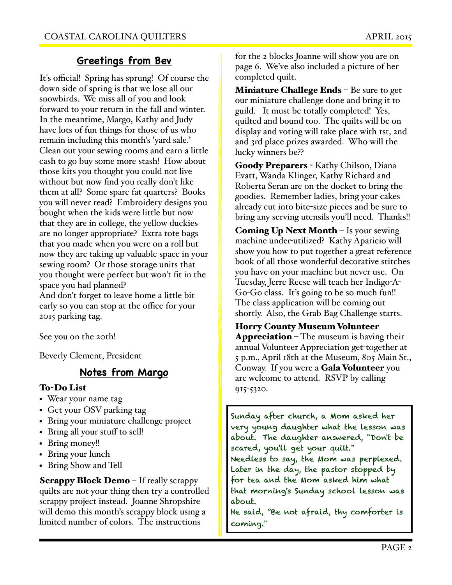# **Greetings from Bev**

It's official! Spring has sprung! Of course the down side of spring is that we lose all our snowbirds. We miss all of you and look forward to your return in the fall and winter. In the meantime, Margo, Kathy and Judy have lots of fun things for those of us who remain including this month's 'yard sale.' Clean out your sewing rooms and earn a little cash to go buy some more stash! How about those kits you thought you could not live without but now find you really don't like them at all? Some spare fat quarters? Books you will never read? Embroidery designs you bought when the kids were little but now that they are in college, the yellow duckies are no longer appropriate? Extra tote bags that you made when you were on a roll but now they are taking up valuable space in your sewing room? Or those storage units that you thought were perfect but won't fit in the space you had planned?

And don't forget to leave home a little bit early so you can stop at the office for your 2015 parking tag.

See you on the 20th!

Beverly Clement, President

# **Notes from Margo**

## To-Do List

- Wear your name tag
- Get your OSV parking tag
- Bring your miniature challenge project
- Bring all your stuff to sell!
- Bring money!!
- Bring your lunch
- Bring Show and Tell

Scrappy Block Demo – If really scrappy quilts are not your thing then try a controlled scrappy project instead. Joanne Shropshire will demo this month's scrappy block using a limited number of colors. The instructions

for the 2 blocks Joanne will show you are on page 6. We've also included a picture of her completed quilt.

Miniature Challege Ends – Be sure to get our miniature challenge done and bring it to guild. It must be totally completed! Yes, quilted and bound too. The quilts will be on display and voting will take place with 1st, 2nd and 3rd place prizes awarded. Who will the lucky winners be??

Goody Preparers - Kathy Chilson, Diana Evatt, Wanda Klinger, Kathy Richard and Roberta Seran are on the docket to bring the goodies. Remember ladies, bring your cakes already cut into bite-size pieces and be sure to bring any serving utensils you'll need. Thanks!!

**Coming Up Next Month**  $-$  Is your sewing machine under-utilized? Kathy Aparicio will show you how to put together a great reference book of all those wonderful decorative stitches you have on your machine but never use. On Tuesday, Jerre Reese will teach her Indigo-A-Go-Go class. It's going to be so much fun!! The class application will be coming out shortly. Also, the Grab Bag Challenge starts.

Horry County Museum Volunteer

Appreciation – The museum is having their annual Volunteer Appreciation get-together at 5 p.m., April 18th at the Museum, 805 Main St., Conway. If you were a **Gala Volunteer** you are welcome to attend. RSVP by calling 915-5320.

Sunday after church, a Mom asked her very young daughter what the lesson was about. The daughter answered, "Don't be scared, you'll get your quilt." Needless to say, the Mom was perplexed. Later in the day, the pastor stopped by for tea and the Mom asked him what that morning's Sunday school lesson was about.

He said, "Be not afraid, thy comforter is coming."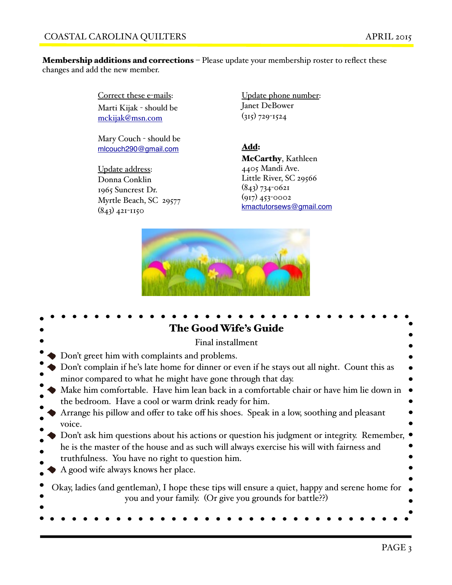Membership additions and corrections - Please update your membership roster to reflect these changes and add the new member.

> Correct these e-mails: Marti Kijak - should be [mckijak@msn.com](mailto:mckijak@msn.com)

Mary Couch - should be [mlcouch290@gmail.com](mailto:mlcouch290@gmail.com)

Update address: Donna Conklin 1965 Suncrest Dr. Myrtle Beach, SC 29577 (843) 421-1150

Update phone number: Janet DeBower (315) 729-1524

Add: McCarthy, Kathleen 4405 Mandi Ave. Little River, SC 29566 (843) 734-0621 (917) 453-0002 [kmactutorsews@gmail.com](mailto:kmactutorsews@gmail.com)



| <b>The Good Wife's Guide</b>                                                                                                                                |  |  |  |  |
|-------------------------------------------------------------------------------------------------------------------------------------------------------------|--|--|--|--|
| Final installment                                                                                                                                           |  |  |  |  |
| Don't greet him with complaints and problems.                                                                                                               |  |  |  |  |
| Don't complain if he's late home for dinner or even if he stays out all night. Count this as<br>minor compared to what he might have gone through that day. |  |  |  |  |
| Make him comfortable. Have him lean back in a comfortable chair or have him lie down in<br>the bedroom. Have a cool or warm drink ready for him.            |  |  |  |  |
| Arrange his pillow and offer to take off his shoes. Speak in a low, soothing and pleasant<br>voice.                                                         |  |  |  |  |
| Don't ask him questions about his actions or question his judgment or integrity. Remember,                                                                  |  |  |  |  |
| he is the master of the house and as such will always exercise his will with fairness and<br>truthfulness. You have no right to question him.               |  |  |  |  |
| A good wife always knows her place.                                                                                                                         |  |  |  |  |
| Okay, ladies (and gentleman), I hope these tips will ensure a quiet, happy and serene home for<br>you and your family. (Or give you grounds for battle??)   |  |  |  |  |
|                                                                                                                                                             |  |  |  |  |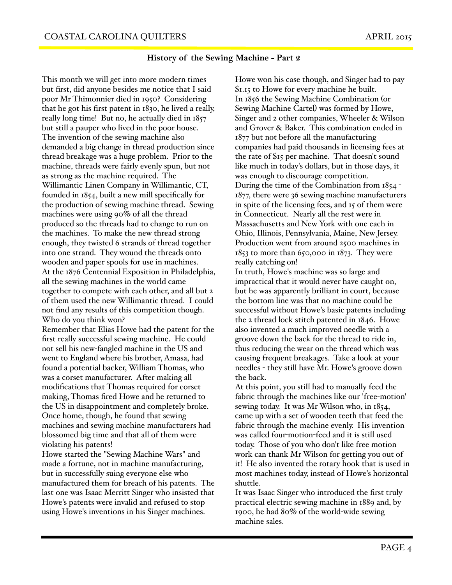## **History of the Sewing Machine - Part 2**

This month we will get into more modern times but first, did anyone besides me notice that I said poor Mr Thimonnier died in 1950? Considering that he got his first patent in 1830, he lived a really, really long time! But no, he actually died in 1857 but still a pauper who lived in the poor house. The invention of the sewing machine also demanded a big change in thread production since thread breakage was a huge problem. Prior to the machine, threads were fairly evenly spun, but not as strong as the machine required. The Willimantic Linen Company in Willimantic, CT, founded in 1854, built a new mill specifically for the production of sewing machine thread. Sewing machines were using 90% of all the thread produced so the threads had to change to run on the machines. To make the new thread strong enough, they twisted 6 strands of thread together into one strand. They wound the threads onto wooden and paper spools for use in machines. At the 1876 Centennial Exposition in Philadelphia, all the sewing machines in the world came together to compete with each other, and all but 2 of them used the new Willimantic thread. I could not find any results of this competition though. Who do you think won?

Remember that Elias Howe had the patent for the first really successful sewing machine. He could not sell his new-fangled machine in the US and went to England where his brother, Amasa, had found a potential backer, William Thomas, who was a corset manufacturer. After making all modifications that Thomas required for corset making, Thomas fired Howe and he returned to the US in disappointment and completely broke. Once home, though, he found that sewing machines and sewing machine manufacturers had blossomed big time and that all of them were violating his patents!

Howe started the "Sewing Machine Wars" and made a fortune, not in machine manufacturing, but in successfully suing everyone else who manufactured them for breach of his patents. The last one was Isaac Merritt Singer who insisted that Howe's patents were invalid and refused to stop using Howe's inventions in his Singer machines.

Howe won his case though, and Singer had to pay \$1.15 to Howe for every machine he built. In 1856 the Sewing Machine Combination (or Sewing Machine Cartel) was formed by Howe, Singer and 2 other companies, Wheeler & Wilson and Grover & Baker. This combination ended in 1877 but not before all the manufacturing companies had paid thousands in licensing fees at the rate of \$15 per machine. That doesn't sound like much in today's dollars, but in those days, it was enough to discourage competition. During the time of the Combination from 1854 - 1877, there were 36 sewing machine manufacturers in spite of the licensing fees, and 15 of them were in Connecticut. Nearly all the rest were in Massachusetts and New York with one each in Ohio, Illinois, Pennsylvania, Maine, New Jersey. Production went from around 2500 machines in  $1853$  to more than 650,000 in  $1873$ . They were really catching on!

In truth, Howe's machine was so large and impractical that it would never have caught on, but he was apparently brilliant in court, because the bottom line was that no machine could be successful without Howe's basic patents including the 2 thread lock stitch patented in 1846. Howe also invented a much improved needle with a groove down the back for the thread to ride in, thus reducing the wear on the thread which was causing frequent breakages. Take a look at your needles - they still have Mr. Howe's groove down the back.

At this point, you still had to manually feed the fabric through the machines like our 'free-motion' sewing today. It was Mr Wilson who, in 1854, came up with a set of wooden teeth that feed the fabric through the machine evenly. His invention was called four-motion-feed and it is still used today. Those of you who don't like free motion work can thank Mr Wilson for getting you out of it! He also invented the rotary hook that is used in most machines today, instead of Howe's horizontal shuttle.

It was Isaac Singer who introduced the first truly practical electric sewing machine in 1889 and, by 1900, he had 80% of the world-wide sewing machine sales.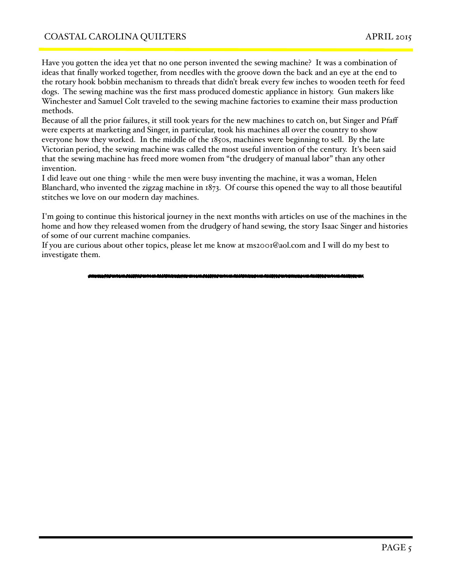Have you gotten the idea yet that no one person invented the sewing machine? It was a combination of ideas that finally worked together, from needles with the groove down the back and an eye at the end to the rotary hook bobbin mechanism to threads that didn't break every few inches to wooden teeth for feed dogs. The sewing machine was the first mass produced domestic appliance in history. Gun makers like Winchester and Samuel Colt traveled to the sewing machine factories to examine their mass production methods.

Because of all the prior failures, it still took years for the new machines to catch on, but Singer and Pfaff were experts at marketing and Singer, in particular, took his machines all over the country to show everyone how they worked. In the middle of the 1850s, machines were beginning to sell. By the late Victorian period, the sewing machine was called the most useful invention of the century. It's been said that the sewing machine has freed more women from "the drudgery of manual labor" than any other invention.

I did leave out one thing - while the men were busy inventing the machine, it was a woman, Helen Blanchard, who invented the zigzag machine in 1873. Of course this opened the way to all those beautiful stitches we love on our modern day machines.

I'm going to continue this historical journey in the next months with articles on use of the machines in the home and how they released women from the drudgery of hand sewing, the story Isaac Singer and histories of some of our current machine companies.

If you are curious about other topics, please let me know at ms2001@aol.com and I will do my best to investigate them.